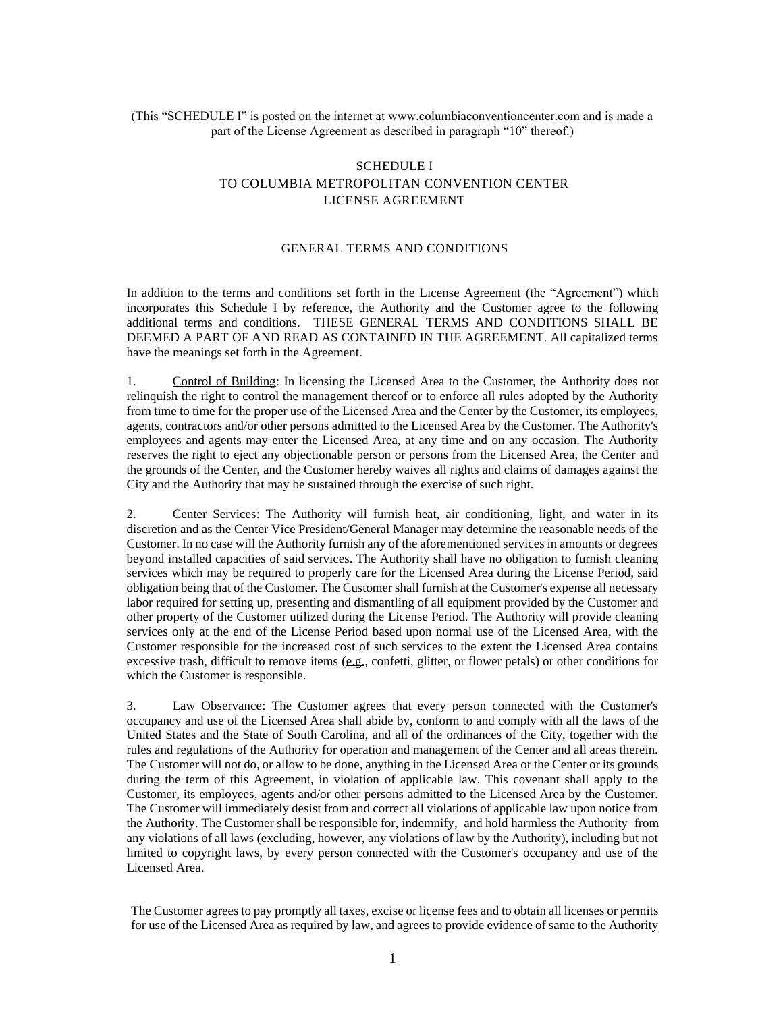## (This "SCHEDULE I" is posted on the internet at www.columbiaconventioncenter.com and is made a part of the License Agreement as described in paragraph "10" thereof.)

## SCHEDULE I TO COLUMBIA METROPOLITAN CONVENTION CENTER LICENSE AGREEMENT

## GENERAL TERMS AND CONDITIONS

In addition to the terms and conditions set forth in the License Agreement (the "Agreement") which incorporates this Schedule I by reference, the Authority and the Customer agree to the following additional terms and conditions. THESE GENERAL TERMS AND CONDITIONS SHALL BE DEEMED A PART OF AND READ AS CONTAINED IN THE AGREEMENT. All capitalized terms have the meanings set forth in the Agreement.

1. Control of Building: In licensing the Licensed Area to the Customer, the Authority does not relinquish the right to control the management thereof or to enforce all rules adopted by the Authority from time to time for the proper use of the Licensed Area and the Center by the Customer, its employees, agents, contractors and/or other persons admitted to the Licensed Area by the Customer. The Authority's employees and agents may enter the Licensed Area, at any time and on any occasion. The Authority reserves the right to eject any objectionable person or persons from the Licensed Area, the Center and the grounds of the Center, and the Customer hereby waives all rights and claims of damages against the City and the Authority that may be sustained through the exercise of such right.

2. Center Services: The Authority will furnish heat, air conditioning, light, and water in its discretion and as the Center Vice President/General Manager may determine the reasonable needs of the Customer. In no case will the Authority furnish any of the aforementioned services in amounts or degrees beyond installed capacities of said services. The Authority shall have no obligation to furnish cleaning services which may be required to properly care for the Licensed Area during the License Period, said obligation being that of the Customer. The Customer shall furnish at the Customer's expense all necessary labor required for setting up, presenting and dismantling of all equipment provided by the Customer and other property of the Customer utilized during the License Period. The Authority will provide cleaning services only at the end of the License Period based upon normal use of the Licensed Area, with the Customer responsible for the increased cost of such services to the extent the Licensed Area contains excessive trash, difficult to remove items (e.g., confetti, glitter, or flower petals) or other conditions for which the Customer is responsible.

3. Law Observance: The Customer agrees that every person connected with the Customer's occupancy and use of the Licensed Area shall abide by, conform to and comply with all the laws of the United States and the State of South Carolina, and all of the ordinances of the City, together with the rules and regulations of the Authority for operation and management of the Center and all areas therein. The Customer will not do, or allow to be done, anything in the Licensed Area or the Center or its grounds during the term of this Agreement, in violation of applicable law. This covenant shall apply to the Customer, its employees, agents and/or other persons admitted to the Licensed Area by the Customer. The Customer will immediately desist from and correct all violations of applicable law upon notice from the Authority. The Customer shall be responsible for, indemnify, and hold harmless the Authority from any violations of all laws (excluding, however, any violations of law by the Authority), including but not limited to copyright laws, by every person connected with the Customer's occupancy and use of the Licensed Area.

The Customer agrees to pay promptly all taxes, excise or license fees and to obtain all licenses or permits for use of the Licensed Area as required by law, and agrees to provide evidence of same to the Authority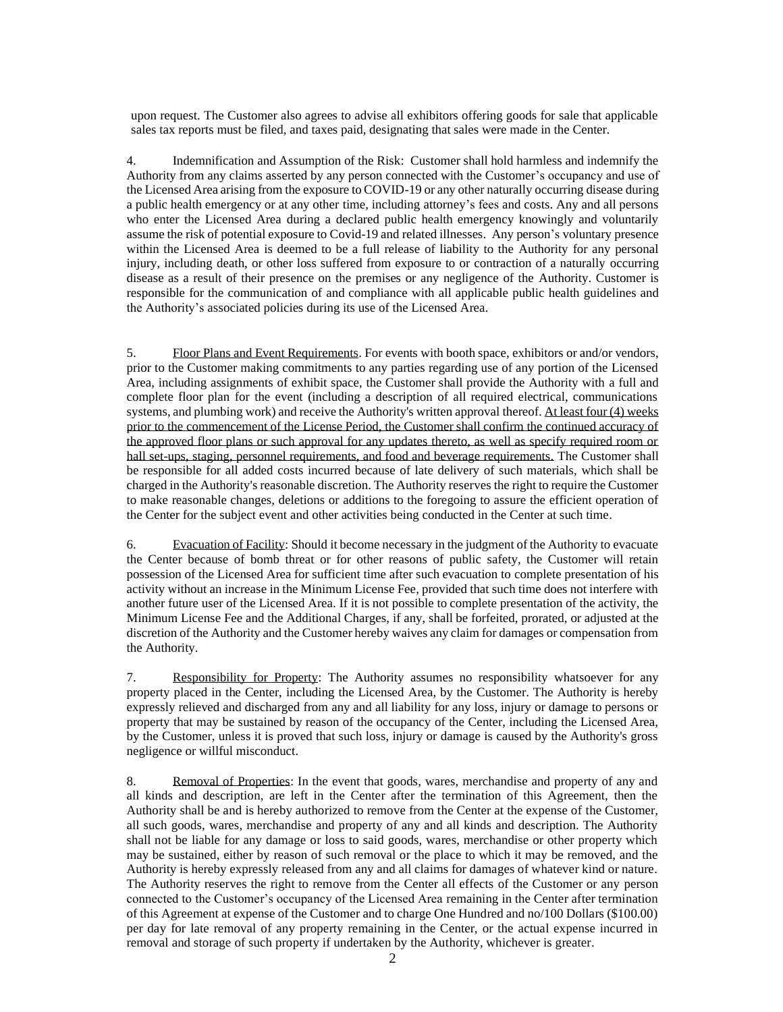upon request. The Customer also agrees to advise all exhibitors offering goods for sale that applicable sales tax reports must be filed, and taxes paid, designating that sales were made in the Center.

4. Indemnification and Assumption of the Risk: Customer shall hold harmless and indemnify the Authority from any claims asserted by any person connected with the Customer's occupancy and use of the Licensed Area arising from the exposure to COVID-19 or any other naturally occurring disease during a public health emergency or at any other time, including attorney's fees and costs. Any and all persons who enter the Licensed Area during a declared public health emergency knowingly and voluntarily assume the risk of potential exposure to Covid-19 and related illnesses. Any person's voluntary presence within the Licensed Area is deemed to be a full release of liability to the Authority for any personal injury, including death, or other loss suffered from exposure to or contraction of a naturally occurring disease as a result of their presence on the premises or any negligence of the Authority. Customer is responsible for the communication of and compliance with all applicable public health guidelines and the Authority's associated policies during its use of the Licensed Area.

5. Floor Plans and Event Requirements. For events with booth space, exhibitors or and/or vendors, prior to the Customer making commitments to any parties regarding use of any portion of the Licensed Area, including assignments of exhibit space, the Customer shall provide the Authority with a full and complete floor plan for the event (including a description of all required electrical, communications systems, and plumbing work) and receive the Authority's written approval thereof. At least four (4) weeks prior to the commencement of the License Period, the Customer shall confirm the continued accuracy of the approved floor plans or such approval for any updates thereto, as well as specify required room or hall set-ups, staging, personnel requirements, and food and beverage requirements. The Customer shall be responsible for all added costs incurred because of late delivery of such materials, which shall be charged in the Authority's reasonable discretion. The Authority reserves the right to require the Customer to make reasonable changes, deletions or additions to the foregoing to assure the efficient operation of the Center for the subject event and other activities being conducted in the Center at such time.

6. Evacuation of Facility: Should it become necessary in the judgment of the Authority to evacuate the Center because of bomb threat or for other reasons of public safety, the Customer will retain possession of the Licensed Area for sufficient time after such evacuation to complete presentation of his activity without an increase in the Minimum License Fee, provided that such time does not interfere with another future user of the Licensed Area. If it is not possible to complete presentation of the activity, the Minimum License Fee and the Additional Charges, if any, shall be forfeited, prorated, or adjusted at the discretion of the Authority and the Customer hereby waives any claim for damages or compensation from the Authority.

7. Responsibility for Property: The Authority assumes no responsibility whatsoever for any property placed in the Center, including the Licensed Area, by the Customer. The Authority is hereby expressly relieved and discharged from any and all liability for any loss, injury or damage to persons or property that may be sustained by reason of the occupancy of the Center, including the Licensed Area, by the Customer, unless it is proved that such loss, injury or damage is caused by the Authority's gross negligence or willful misconduct.

8. Removal of Properties: In the event that goods, wares, merchandise and property of any and all kinds and description, are left in the Center after the termination of this Agreement, then the Authority shall be and is hereby authorized to remove from the Center at the expense of the Customer, all such goods, wares, merchandise and property of any and all kinds and description. The Authority shall not be liable for any damage or loss to said goods, wares, merchandise or other property which may be sustained, either by reason of such removal or the place to which it may be removed, and the Authority is hereby expressly released from any and all claims for damages of whatever kind or nature. The Authority reserves the right to remove from the Center all effects of the Customer or any person connected to the Customer's occupancy of the Licensed Area remaining in the Center after termination of this Agreement at expense of the Customer and to charge One Hundred and no/100 Dollars (\$100.00) per day for late removal of any property remaining in the Center, or the actual expense incurred in removal and storage of such property if undertaken by the Authority, whichever is greater.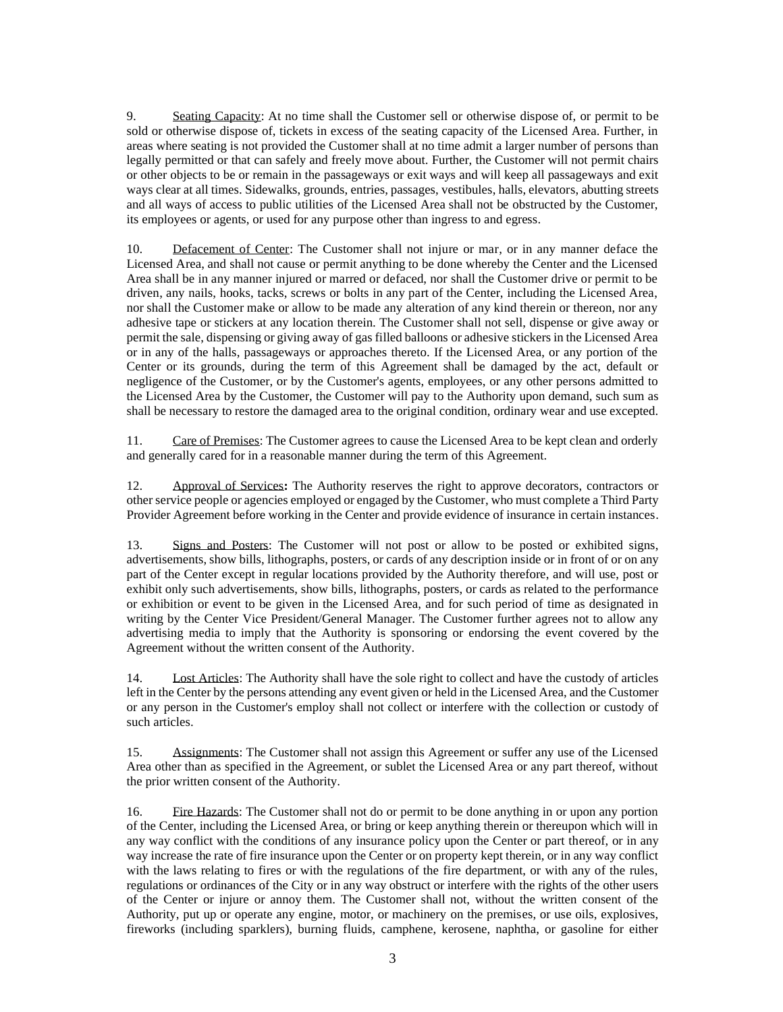9. Seating Capacity: At no time shall the Customer sell or otherwise dispose of, or permit to be sold or otherwise dispose of, tickets in excess of the seating capacity of the Licensed Area. Further, in areas where seating is not provided the Customer shall at no time admit a larger number of persons than legally permitted or that can safely and freely move about. Further, the Customer will not permit chairs or other objects to be or remain in the passageways or exit ways and will keep all passageways and exit ways clear at all times. Sidewalks, grounds, entries, passages, vestibules, halls, elevators, abutting streets and all ways of access to public utilities of the Licensed Area shall not be obstructed by the Customer, its employees or agents, or used for any purpose other than ingress to and egress.

10. Defacement of Center: The Customer shall not injure or mar, or in any manner deface the Licensed Area, and shall not cause or permit anything to be done whereby the Center and the Licensed Area shall be in any manner injured or marred or defaced, nor shall the Customer drive or permit to be driven, any nails, hooks, tacks, screws or bolts in any part of the Center, including the Licensed Area, nor shall the Customer make or allow to be made any alteration of any kind therein or thereon, nor any adhesive tape or stickers at any location therein. The Customer shall not sell, dispense or give away or permit the sale, dispensing or giving away of gas filled balloons or adhesive stickers in the Licensed Area or in any of the halls, passageways or approaches thereto. If the Licensed Area, or any portion of the Center or its grounds, during the term of this Agreement shall be damaged by the act, default or negligence of the Customer, or by the Customer's agents, employees, or any other persons admitted to the Licensed Area by the Customer, the Customer will pay to the Authority upon demand, such sum as shall be necessary to restore the damaged area to the original condition, ordinary wear and use excepted.

11. Care of Premises: The Customer agrees to cause the Licensed Area to be kept clean and orderly and generally cared for in a reasonable manner during the term of this Agreement.

12. Approval of Services**:** The Authority reserves the right to approve decorators, contractors or other service people or agencies employed or engaged by the Customer, who must complete a Third Party Provider Agreement before working in the Center and provide evidence of insurance in certain instances.

13. Signs and Posters: The Customer will not post or allow to be posted or exhibited signs, advertisements, show bills, lithographs, posters, or cards of any description inside or in front of or on any part of the Center except in regular locations provided by the Authority therefore, and will use, post or exhibit only such advertisements, show bills, lithographs, posters, or cards as related to the performance or exhibition or event to be given in the Licensed Area, and for such period of time as designated in writing by the Center Vice President/General Manager. The Customer further agrees not to allow any advertising media to imply that the Authority is sponsoring or endorsing the event covered by the Agreement without the written consent of the Authority.

14. Lost Articles: The Authority shall have the sole right to collect and have the custody of articles left in the Center by the persons attending any event given or held in the Licensed Area, and the Customer or any person in the Customer's employ shall not collect or interfere with the collection or custody of such articles.

15. Assignments: The Customer shall not assign this Agreement or suffer any use of the Licensed Area other than as specified in the Agreement, or sublet the Licensed Area or any part thereof, without the prior written consent of the Authority.

16. Fire Hazards: The Customer shall not do or permit to be done anything in or upon any portion of the Center, including the Licensed Area, or bring or keep anything therein or thereupon which will in any way conflict with the conditions of any insurance policy upon the Center or part thereof, or in any way increase the rate of fire insurance upon the Center or on property kept therein, or in any way conflict with the laws relating to fires or with the regulations of the fire department, or with any of the rules, regulations or ordinances of the City or in any way obstruct or interfere with the rights of the other users of the Center or injure or annoy them. The Customer shall not, without the written consent of the Authority, put up or operate any engine, motor, or machinery on the premises, or use oils, explosives, fireworks (including sparklers), burning fluids, camphene, kerosene, naphtha, or gasoline for either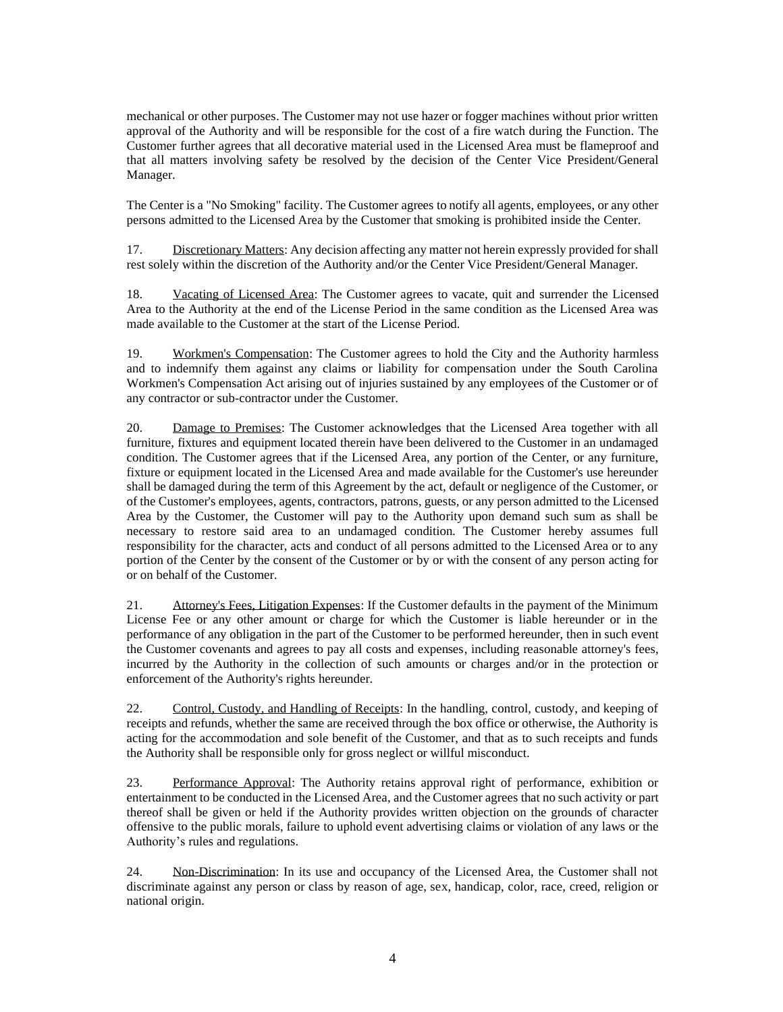mechanical or other purposes. The Customer may not use hazer or fogger machines without prior written approval of the Authority and will be responsible for the cost of a fire watch during the Function. The Customer further agrees that all decorative material used in the Licensed Area must be flameproof and that all matters involving safety be resolved by the decision of the Center Vice President/General Manager.

The Center is a "No Smoking" facility. The Customer agrees to notify all agents, employees, or any other persons admitted to the Licensed Area by the Customer that smoking is prohibited inside the Center.

17. Discretionary Matters: Any decision affecting any matter not herein expressly provided for shall rest solely within the discretion of the Authority and/or the Center Vice President/General Manager.

18. Vacating of Licensed Area: The Customer agrees to vacate, quit and surrender the Licensed Area to the Authority at the end of the License Period in the same condition as the Licensed Area was made available to the Customer at the start of the License Period.

19. Workmen's Compensation: The Customer agrees to hold the City and the Authority harmless and to indemnify them against any claims or liability for compensation under the South Carolina Workmen's Compensation Act arising out of injuries sustained by any employees of the Customer or of any contractor or sub-contractor under the Customer.

20. Damage to Premises: The Customer acknowledges that the Licensed Area together with all furniture, fixtures and equipment located therein have been delivered to the Customer in an undamaged condition. The Customer agrees that if the Licensed Area, any portion of the Center, or any furniture, fixture or equipment located in the Licensed Area and made available for the Customer's use hereunder shall be damaged during the term of this Agreement by the act, default or negligence of the Customer, or of the Customer's employees, agents, contractors, patrons, guests, or any person admitted to the Licensed Area by the Customer, the Customer will pay to the Authority upon demand such sum as shall be necessary to restore said area to an undamaged condition. The Customer hereby assumes full responsibility for the character, acts and conduct of all persons admitted to the Licensed Area or to any portion of the Center by the consent of the Customer or by or with the consent of any person acting for or on behalf of the Customer.

21. Attorney's Fees, Litigation Expenses: If the Customer defaults in the payment of the Minimum License Fee or any other amount or charge for which the Customer is liable hereunder or in the performance of any obligation in the part of the Customer to be performed hereunder, then in such event the Customer covenants and agrees to pay all costs and expenses, including reasonable attorney's fees, incurred by the Authority in the collection of such amounts or charges and/or in the protection or enforcement of the Authority's rights hereunder.

22. Control, Custody, and Handling of Receipts: In the handling, control, custody, and keeping of receipts and refunds, whether the same are received through the box office or otherwise, the Authority is acting for the accommodation and sole benefit of the Customer, and that as to such receipts and funds the Authority shall be responsible only for gross neglect or willful misconduct.

23. Performance Approval: The Authority retains approval right of performance, exhibition or entertainment to be conducted in the Licensed Area, and the Customer agrees that no such activity or part thereof shall be given or held if the Authority provides written objection on the grounds of character offensive to the public morals, failure to uphold event advertising claims or violation of any laws or the Authority's rules and regulations.

24. Non-Discrimination: In its use and occupancy of the Licensed Area, the Customer shall not discriminate against any person or class by reason of age, sex, handicap, color, race, creed, religion or national origin.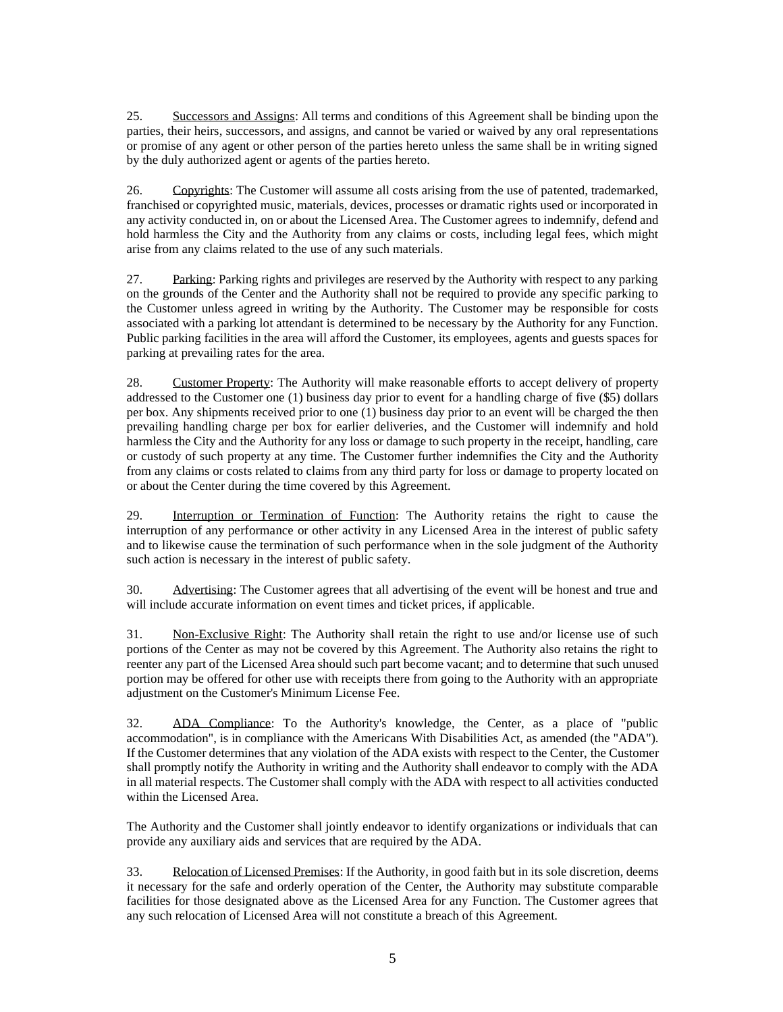25. Successors and Assigns: All terms and conditions of this Agreement shall be binding upon the parties, their heirs, successors, and assigns, and cannot be varied or waived by any oral representations or promise of any agent or other person of the parties hereto unless the same shall be in writing signed by the duly authorized agent or agents of the parties hereto.

26. Copyrights: The Customer will assume all costs arising from the use of patented, trademarked, franchised or copyrighted music, materials, devices, processes or dramatic rights used or incorporated in any activity conducted in, on or about the Licensed Area. The Customer agrees to indemnify, defend and hold harmless the City and the Authority from any claims or costs, including legal fees, which might arise from any claims related to the use of any such materials.

27. Parking: Parking rights and privileges are reserved by the Authority with respect to any parking on the grounds of the Center and the Authority shall not be required to provide any specific parking to the Customer unless agreed in writing by the Authority. The Customer may be responsible for costs associated with a parking lot attendant is determined to be necessary by the Authority for any Function. Public parking facilities in the area will afford the Customer, its employees, agents and guests spaces for parking at prevailing rates for the area.

28. Customer Property: The Authority will make reasonable efforts to accept delivery of property addressed to the Customer one (1) business day prior to event for a handling charge of five (\$5) dollars per box. Any shipments received prior to one (1) business day prior to an event will be charged the then prevailing handling charge per box for earlier deliveries, and the Customer will indemnify and hold harmless the City and the Authority for any loss or damage to such property in the receipt, handling, care or custody of such property at any time. The Customer further indemnifies the City and the Authority from any claims or costs related to claims from any third party for loss or damage to property located on or about the Center during the time covered by this Agreement.

29. Interruption or Termination of Function: The Authority retains the right to cause the interruption of any performance or other activity in any Licensed Area in the interest of public safety and to likewise cause the termination of such performance when in the sole judgment of the Authority such action is necessary in the interest of public safety.

30. Advertising: The Customer agrees that all advertising of the event will be honest and true and will include accurate information on event times and ticket prices, if applicable.

31. Non-Exclusive Right: The Authority shall retain the right to use and/or license use of such portions of the Center as may not be covered by this Agreement. The Authority also retains the right to reenter any part of the Licensed Area should such part become vacant; and to determine that such unused portion may be offered for other use with receipts there from going to the Authority with an appropriate adjustment on the Customer's Minimum License Fee.

32. ADA Compliance: To the Authority's knowledge, the Center, as a place of "public accommodation", is in compliance with the Americans With Disabilities Act, as amended (the "ADA"). If the Customer determines that any violation of the ADA exists with respect to the Center, the Customer shall promptly notify the Authority in writing and the Authority shall endeavor to comply with the ADA in all material respects. The Customer shall comply with the ADA with respect to all activities conducted within the Licensed Area.

The Authority and the Customer shall jointly endeavor to identify organizations or individuals that can provide any auxiliary aids and services that are required by the ADA.

33. Relocation of Licensed Premises: If the Authority, in good faith but in its sole discretion, deems it necessary for the safe and orderly operation of the Center, the Authority may substitute comparable facilities for those designated above as the Licensed Area for any Function. The Customer agrees that any such relocation of Licensed Area will not constitute a breach of this Agreement.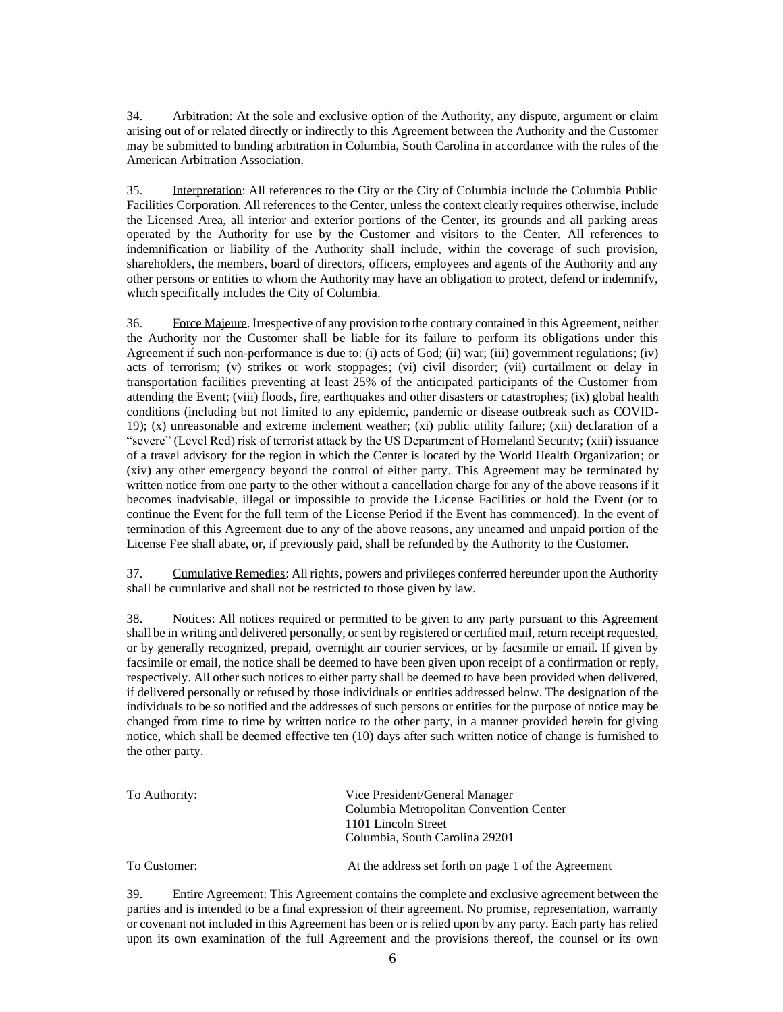34. Arbitration: At the sole and exclusive option of the Authority, any dispute, argument or claim arising out of or related directly or indirectly to this Agreement between the Authority and the Customer may be submitted to binding arbitration in Columbia, South Carolina in accordance with the rules of the American Arbitration Association.

35. Interpretation: All references to the City or the City of Columbia include the Columbia Public Facilities Corporation. All references to the Center, unless the context clearly requires otherwise, include the Licensed Area, all interior and exterior portions of the Center, its grounds and all parking areas operated by the Authority for use by the Customer and visitors to the Center. All references to indemnification or liability of the Authority shall include, within the coverage of such provision, shareholders, the members, board of directors, officers, employees and agents of the Authority and any other persons or entities to whom the Authority may have an obligation to protect, defend or indemnify, which specifically includes the City of Columbia.

36. Force Majeure. Irrespective of any provision to the contrary contained in this Agreement, neither the Authority nor the Customer shall be liable for its failure to perform its obligations under this Agreement if such non-performance is due to: (i) acts of God; (ii) war; (iii) government regulations; (iv) acts of terrorism; (v) strikes or work stoppages; (vi) civil disorder; (vii) curtailment or delay in transportation facilities preventing at least 25% of the anticipated participants of the Customer from attending the Event; (viii) floods, fire, earthquakes and other disasters or catastrophes; (ix) global health conditions (including but not limited to any epidemic, pandemic or disease outbreak such as COVID-19); (x) unreasonable and extreme inclement weather; (xi) public utility failure; (xii) declaration of a "severe" (Level Red) risk of terrorist attack by the US Department of Homeland Security; (xiii) issuance of a travel advisory for the region in which the Center is located by the World Health Organization; or (xiv) any other emergency beyond the control of either party. This Agreement may be terminated by written notice from one party to the other without a cancellation charge for any of the above reasons if it becomes inadvisable, illegal or impossible to provide the License Facilities or hold the Event (or to continue the Event for the full term of the License Period if the Event has commenced). In the event of termination of this Agreement due to any of the above reasons, any unearned and unpaid portion of the License Fee shall abate, or, if previously paid, shall be refunded by the Authority to the Customer.

37. Cumulative Remedies: All rights, powers and privileges conferred hereunder upon the Authority shall be cumulative and shall not be restricted to those given by law.

38. Notices: All notices required or permitted to be given to any party pursuant to this Agreement shall be in writing and delivered personally, or sent by registered or certified mail, return receipt requested, or by generally recognized, prepaid, overnight air courier services, or by facsimile or email. If given by facsimile or email, the notice shall be deemed to have been given upon receipt of a confirmation or reply, respectively. All other such notices to either party shall be deemed to have been provided when delivered, if delivered personally or refused by those individuals or entities addressed below. The designation of the individuals to be so notified and the addresses of such persons or entities for the purpose of notice may be changed from time to time by written notice to the other party, in a manner provided herein for giving notice, which shall be deemed effective ten (10) days after such written notice of change is furnished to the other party.

| To Authority: | Vice President/General Manager<br>Columbia Metropolitan Convention Center |
|---------------|---------------------------------------------------------------------------|
|               | 1101 Lincoln Street<br>Columbia, South Carolina 29201                     |
| To Customer:  | At the address set forth on page 1 of the Agreement                       |

39. Entire Agreement: This Agreement contains the complete and exclusive agreement between the parties and is intended to be a final expression of their agreement. No promise, representation, warranty or covenant not included in this Agreement has been or is relied upon by any party. Each party has relied upon its own examination of the full Agreement and the provisions thereof, the counsel or its own